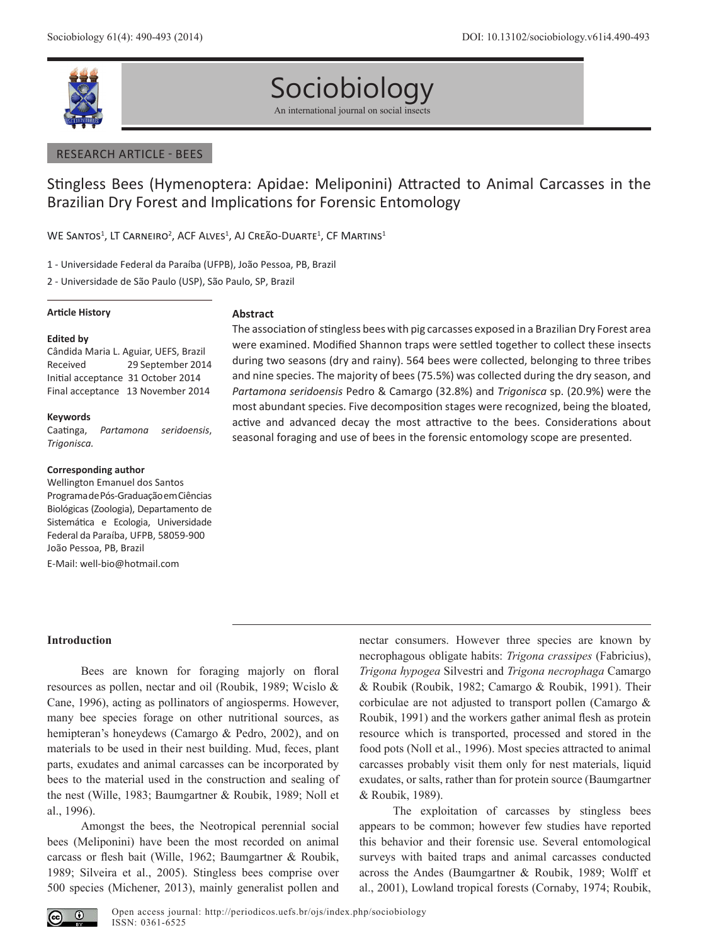

# Sociobiology

An international journal on social insects

## RESEARCH ARTICLE - BEES

## Stingless Bees (Hymenoptera: Apidae: Meliponini) Attracted to Animal Carcasses in the Brazilian Dry Forest and Implications for Forensic Entomology

WE SANTOS<sup>1</sup>, LT CARNEIRO<sup>2</sup>, ACF ALVES<sup>1</sup>, AJ CREÃO-DUARTE<sup>1</sup>, CF MARTINS<sup>1</sup>

1 - Universidade Federal da Paraíba (UFPB), João Pessoa, PB, Brazil

2 - Universidade de São Paulo (USP), São Paulo, SP, Brazil

## **Article History**

## **Edited by**

Cândida Maria L. Aguiar, UEFS, Brazil Received 29 September 2014 Initial acceptance 31 October 2014 Final acceptance 13 November 2014

## **Keywords**

Caatinga, *Partamona seridoensis*, *Trigonisca.*

## **Corresponding author**

Wellington Emanuel dos Santos Programa de Pós-Graduação em Ciências Biológicas (Zoologia), Departamento de Sistemática e Ecologia, Universidade Federal da Paraíba, UFPB, 58059-900 João Pessoa, PB, Brazil E-Mail: well-bio@hotmail.com

## **Abstract**

The association of stingless bees with pig carcasses exposed in a Brazilian Dry Forest area were examined. Modified Shannon traps were settled together to collect these insects during two seasons (dry and rainy). 564 bees were collected, belonging to three tribes and nine species. The majority of bees (75.5%) was collected during the dry season, and *Partamona seridoensis* Pedro & Camargo (32.8%) and *Trigonisca* sp. (20.9%) were the most abundant species. Five decomposition stages were recognized, being the bloated, active and advanced decay the most attractive to the bees. Considerations about seasonal foraging and use of bees in the forensic entomology scope are presented.

## **Introduction**

Bees are known for foraging majorly on floral resources as pollen, nectar and oil (Roubik, 1989; Wcislo & Cane, 1996), acting as pollinators of angiosperms. However, many bee species forage on other nutritional sources, as hemipteran's honeydews (Camargo & Pedro, 2002), and on materials to be used in their nest building. Mud, feces, plant parts, exudates and animal carcasses can be incorporated by bees to the material used in the construction and sealing of the nest (Wille, 1983; Baumgartner & Roubik, 1989; Noll et al., 1996).

Amongst the bees, the Neotropical perennial social bees (Meliponini) have been the most recorded on animal carcass or flesh bait (Wille, 1962; Baumgartner & Roubik, 1989; Silveira et al., 2005). Stingless bees comprise over 500 species (Michener, 2013), mainly generalist pollen and nectar consumers. However three species are known by necrophagous obligate habits: *Trigona crassipes* (Fabricius), *Trigona hypogea* Silvestri and *Trigona necrophaga* Camargo & Roubik (Roubik, 1982; Camargo & Roubik, 1991). Their corbiculae are not adjusted to transport pollen (Camargo & Roubik, 1991) and the workers gather animal flesh as protein resource which is transported, processed and stored in the food pots (Noll et al., 1996). Most species attracted to animal carcasses probably visit them only for nest materials, liquid exudates, or salts, rather than for protein source (Baumgartner & Roubik, 1989).

The exploitation of carcasses by stingless bees appears to be common; however few studies have reported this behavior and their forensic use. Several entomological surveys with baited traps and animal carcasses conducted across the Andes (Baumgartner & Roubik, 1989; Wolff et al., 2001), Lowland tropical forests (Cornaby, 1974; Roubik,

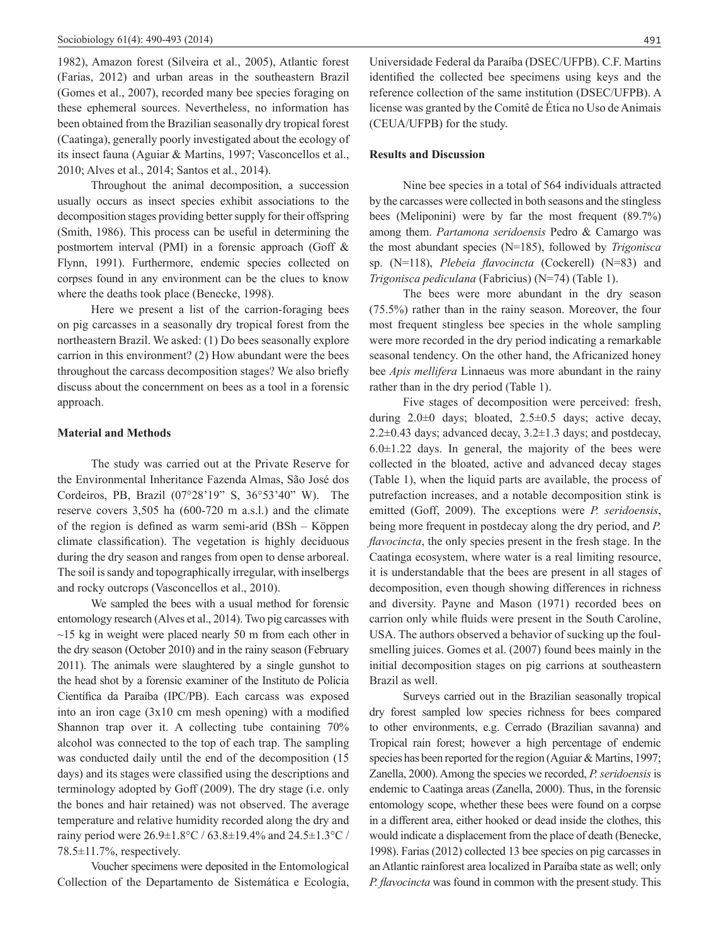1982), Amazon forest (Silveira et al., 2005), Atlantic forest (Farias, 2012) and urban areas in the southeastern Brazil (Gomes et al., 2007), recorded many bee species foraging on these ephemeral sources. Nevertheless, no information has been obtained from the Brazilian seasonally dry tropical forest (Caatinga), generally poorly investigated about the ecology of its insect fauna (Aguiar & Martins, 1997; Vasconcellos et al., 2010; Alves et al., 2014; Santos et al., 2014).

Throughout the animal decomposition, a succession usually occurs as insect species exhibit associations to the decomposition stages providing better supply for their offspring (Smith, 1986). This process can be useful in determining the postmortem interval (PMI) in a forensic approach (Goff & Flynn, 1991). Furthermore, endemic species collected on corpses found in any environment can be the clues to know where the deaths took place (Benecke, 1998).

Here we present a list of the carrion-foraging bees on pig carcasses in a seasonally dry tropical forest from the northeastern Brazil. We asked: (1) Do bees seasonally explore carrion in this environment? (2) How abundant were the bees throughout the carcass decomposition stages? We also briefly discuss about the concernment on bees as a tool in a forensic approach.

## **Material and Methods**

The study was carried out at the Private Reserve for the Environmental Inheritance Fazenda Almas, São José dos Cordeiros, PB, Brazil (07°28'19" S, 36°53'40" W). The reserve covers 3,505 ha (600-720 m a.s.l.) and the climate of the region is defined as warm semi-arid (BSh – Köppen climate classification). The vegetation is highly deciduous during the dry season and ranges from open to dense arboreal. The soil is sandy and topographically irregular, with inselbergs and rocky outcrops (Vasconcellos et al., 2010).

We sampled the bees with a usual method for forensic entomology research (Alves et al., 2014). Two pig carcasses with  $\sim$ 15 kg in weight were placed nearly 50 m from each other in the dry season (October 2010) and in the rainy season (February 2011). The animals were slaughtered by a single gunshot to the head shot by a forensic examiner of the Instituto de Polícia Científica da Paraíba (IPC/PB). Each carcass was exposed into an iron cage (3x10 cm mesh opening) with a modified Shannon trap over it. A collecting tube containing 70% alcohol was connected to the top of each trap. The sampling was conducted daily until the end of the decomposition (15 days) and its stages were classified using the descriptions and terminology adopted by Goff (2009). The dry stage (i.e. only the bones and hair retained) was not observed. The average temperature and relative humidity recorded along the dry and rainy period were 26.9±1.8°C / 63.8±19.4% and 24.5±1.3°C / 78.5±11.7%, respectively.

Voucher specimens were deposited in the Entomological Collection of the Departamento de Sistemática e Ecologia, Universidade Federal da Paraíba (DSEC/UFPB). C.F. Martins identified the collected bee specimens using keys and the reference collection of the same institution (DSEC/UFPB). A license was granted by the Comitê de Ética no Uso de Animais (CEUA/UFPB) for the study.

## **Results and Discussion**

Nine bee species in a total of 564 individuals attracted by the carcasses were collected in both seasons and the stingless bees (Meliponini) were by far the most frequent (89.7%) among them. *Partamona seridoensis* Pedro & Camargo was the most abundant species (N=185), followed by *Trigonisca* sp. (N=118), *Plebeia flavocincta* (Cockerell) (N=83) and *Trigonisca pediculana* (Fabricius) (N=74) (Table 1).

The bees were more abundant in the dry season (75.5%) rather than in the rainy season. Moreover, the four most frequent stingless bee species in the whole sampling were more recorded in the dry period indicating a remarkable seasonal tendency. On the other hand, the Africanized honey bee *Apis mellifera* Linnaeus was more abundant in the rainy rather than in the dry period (Table 1).

Five stages of decomposition were perceived: fresh, during  $2.0\pm0$  days; bloated,  $2.5\pm0.5$  days; active decay, 2.2 $\pm$ 0.43 days; advanced decay, 3.2 $\pm$ 1.3 days; and postdecay,  $6.0 \pm 1.22$  days. In general, the majority of the bees were collected in the bloated, active and advanced decay stages (Table 1), when the liquid parts are available, the process of putrefaction increases, and a notable decomposition stink is emitted (Goff, 2009). The exceptions were *P. seridoensis*, being more frequent in postdecay along the dry period, and *P. flavocincta*, the only species present in the fresh stage. In the Caatinga ecosystem, where water is a real limiting resource, it is understandable that the bees are present in all stages of decomposition, even though showing differences in richness and diversity. Payne and Mason (1971) recorded bees on carrion only while fluids were present in the South Caroline, USA. The authors observed a behavior of sucking up the foulsmelling juices. Gomes et al.  $(2007)$  found bees mainly in the initial decomposition stages on pig carrions at southeastern Brazil as well.

Surveys carried out in the Brazilian seasonally tropical dry forest sampled low species richness for bees compared to other environments, e.g. Cerrado (Brazilian savanna) and Tropical rain forest; however a high percentage of endemic species has been reported for the region (Aguiar & Martins, 1997; Zanella, 2000). Among the species we recorded, *P. seridoensis* is endemic to Caatinga areas (Zanella, 2000). Thus, in the forensic entomology scope, whether these bees were found on a corpse in a different area, either hooked or dead inside the clothes, this would indicate a displacement from the place of death (Benecke, 1998). Farias (2012) collected 13 bee species on pig carcasses in an Atlantic rainforest area localized in Paraíba state as well; only *P. flavocincta* was found in common with the present study. This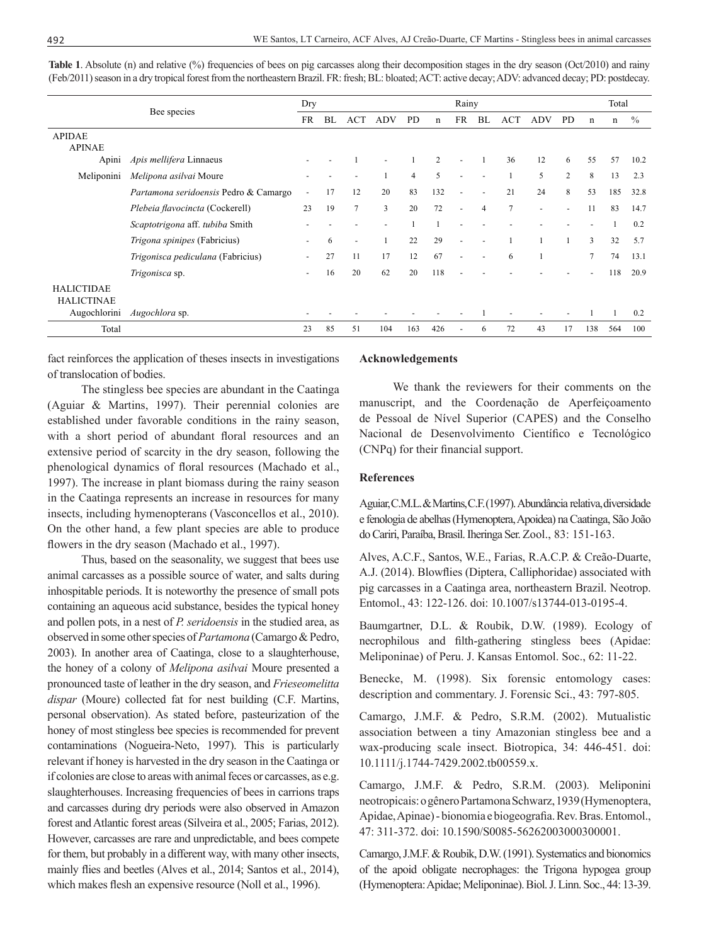|                                        | Bee species                           |                          | Dry |                |            |                | Rainy          |                          |                |                |                |                | Total          |     |               |  |
|----------------------------------------|---------------------------------------|--------------------------|-----|----------------|------------|----------------|----------------|--------------------------|----------------|----------------|----------------|----------------|----------------|-----|---------------|--|
|                                        |                                       |                          | BL  | <b>ACT</b>     | <b>ADV</b> | <b>PD</b>      | $\mathbf n$    | <b>FR</b>                | BL             | ACT            | <b>ADV</b>     | <b>PD</b>      | n              | n   | $\frac{0}{0}$ |  |
| <b>APIDAE</b><br><b>APINAE</b>         |                                       |                          |     |                |            |                |                |                          |                |                |                |                |                |     |               |  |
| Apini                                  | Apis mellifera Linnaeus               |                          |     |                |            |                | $\overline{c}$ |                          |                | 36             | 12             | 6              | 55             | 57  | 10.2          |  |
| Meliponini                             | Melipona asilvai Moure                |                          |     |                |            | $\overline{4}$ | 5              |                          |                |                | 5              | $\overline{c}$ | 8              | 13  | 2.3           |  |
|                                        | Partamona seridoensis Pedro & Camargo |                          | 17  | 12             | 20         | 83             | 132            | $\overline{\phantom{a}}$ | ٠              | 21             | 24             | 8              | 53             | 185 | 32.8          |  |
|                                        | Plebeia flavocincta (Cockerell)       | 23                       | 19  | $\overline{7}$ | 3          | 20             | 72             | $\overline{\phantom{a}}$ | $\overline{4}$ | $\overline{7}$ | $\overline{a}$ | $\blacksquare$ | 11             | 83  | 14.7          |  |
|                                        | Scaptotrigona aff. tubiba Smith       |                          |     |                |            |                |                |                          |                |                |                |                |                |     | 0.2           |  |
|                                        | Trigona spinipes (Fabricius)          |                          | 6   | ٠              |            | 22             | 29             |                          |                |                |                |                | 3              | 32  | 5.7           |  |
|                                        | Trigonisca pediculana (Fabricius)     | $\overline{\phantom{a}}$ | 27  | 11             | 17         | 12             | 67             |                          | ٠              | 6              |                |                | $\overline{7}$ | 74  | 13.1          |  |
|                                        | Trigonisca sp.                        |                          | 16  | 20             | 62         | 20             | 118            |                          |                |                |                |                |                | 118 | 20.9          |  |
| <b>HALICTIDAE</b><br><b>HALICTINAE</b> |                                       |                          |     |                |            |                |                |                          |                |                |                |                |                |     |               |  |
| Augochlorini                           | Augochlora sp.                        |                          |     |                |            |                |                |                          |                |                |                |                |                | 1   | 0.2           |  |
| Total                                  |                                       | 23                       | 85  | 51             | 104        | 163            | 426            |                          | 6              | 72             | 43             | 17             | 138            | 564 | 100           |  |

**Table 1**. Absolute (n) and relative (%) frequencies of bees on pig carcasses along their decomposition stages in the dry season (Oct/2010) and rainy (Feb/2011) season in a dry tropical forest from the northeastern Brazil. FR: fresh; BL: bloated; ACT: active decay; ADV: advanced decay; PD: postdecay.

fact reinforces the application of theses insects in investigations of translocation of bodies.

The stingless bee species are abundant in the Caatinga (Aguiar & Martins, 1997). Their perennial colonies are established under favorable conditions in the rainy season, with a short period of abundant floral resources and an extensive period of scarcity in the dry season, following the phenological dynamics of floral resources (Machado et al., 1997). The increase in plant biomass during the rainy season in the Caatinga represents an increase in resources for many insects, including hymenopterans (Vasconcellos et al., 2010). On the other hand, a few plant species are able to produce flowers in the dry season (Machado et al., 1997).

Thus, based on the seasonality, we suggest that bees use animal carcasses as a possible source of water, and salts during inhospitable periods. It is noteworthy the presence of small pots containing an aqueous acid substance, besides the typical honey and pollen pots, in a nest of *P. seridoensis* in the studied area, as observed in some other species of *Partamona* (Camargo & Pedro, 2003). In another area of Caatinga, close to a slaughterhouse, the honey of a colony of *Melipona asilvai* Moure presented a pronounced taste of leather in the dry season, and *Frieseomelitta dispar* (Moure) collected fat for nest building (C.F. Martins, personal observation). As stated before, pasteurization of the honey of most stingless bee species is recommended for prevent contaminations (Nogueira-Neto, 1997). This is particularly relevant if honey is harvested in the dry season in the Caatinga or if colonies are close to areas with animal feces or carcasses, as e.g. slaughterhouses. Increasing frequencies of bees in carrions traps and carcasses during dry periods were also observed in Amazon forest and Atlantic forest areas (Silveira et al., 2005; Farias, 2012). However, carcasses are rare and unpredictable, and bees compete for them, but probably in a different way, with many other insects, mainly flies and beetles (Alves et al., 2014; Santos et al., 2014), which makes flesh an expensive resource (Noll et al., 1996).

## **Acknowledgements**

We thank the reviewers for their comments on the manuscript, and the Coordenação de Aperfeiçoamento de Pessoal de Nível Superior (CAPES) and the Conselho Nacional de Desenvolvimento Científico e Tecnológico (CNPq) for their financial support.

## **References**

Aguiar, C.M.L. & Martins, C.F. (1997). Abundância relativa, diversidade e fenologia de abelhas (Hymenoptera, Apoidea) na Caatinga, São João do Cariri, Paraíba, Brasil. Iheringa Ser. Zool., 83: 151-163.

Alves, A.C.F., Santos, W.E., Farias, R.A.C.P. & Creão-Duarte, A.J. (2014). Blowflies (Diptera, Calliphoridae) associated with pig carcasses in a Caatinga area, northeastern Brazil. Neotrop. Entomol., 43: 122-126. doi: 10.1007/s13744-013-0195-4.

Baumgartner, D.L. & Roubik, D.W. (1989). Ecology of necrophilous and filth-gathering stingless bees (Apidae: Meliponinae) of Peru. J. Kansas Entomol. Soc., 62: 11-22.

Benecke, M. (1998). Six forensic entomology cases: description and commentary. J. Forensic Sci., 43: 797-805.

Camargo, J.M.F. & Pedro, S.R.M. (2002). Mutualistic association between a tiny Amazonian stingless bee and a wax-producing scale insect. Biotropica, 34: 446-451. doi: 10.1111/j.1744-7429.2002.tb00559.x.

Camargo, J.M.F. & Pedro, S.R.M. (2003). Meliponini neotropicais: o gênero Partamona Schwarz, 1939 (Hymenoptera, Apidae, Apinae) - bionomia e biogeografia. Rev. Bras. Entomol., 47: 311-372. doi: 10.1590/S0085-56262003000300001.

Camargo, J.M.F. & Roubik, D.W. (1991). Systematics and bionomics of the apoid obligate necrophages: the Trigona hypogea group (Hymenoptera: Apidae; Meliponinae). Biol. J. Linn. Soc., 44: 13-39.